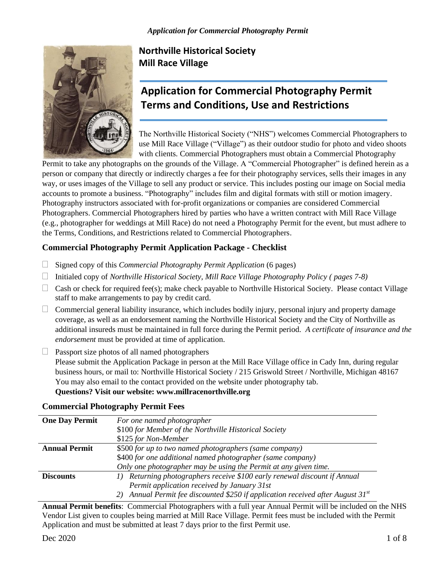

## **Northville Historical Society Mill Race Village**

# **Application for Commercial Photography Permit Terms and Conditions, Use and Restrictions**

The Northville Historical Society ("NHS") welcomes Commercial Photographers to use Mill Race Village ("Village") as their outdoor studio for photo and video shoots with clients. Commercial Photographers must obtain a Commercial Photography

Permit to take any photographs on the grounds of the Village. A "Commercial Photographer" is defined herein as a person or company that directly or indirectly charges a fee for their photography services, sells their images in any way, or uses images of the Village to sell any product or service. This includes posting our image on Social media accounts to promote a business. "Photography" includes film and digital formats with still or motion imagery. Photography instructors associated with for-profit organizations or companies are considered Commercial Photographers. Commercial Photographers hired by parties who have a written contract with Mill Race Village (e.g., photographer for weddings at Mill Race) do not need a Photography Permit for the event, but must adhere to the Terms, Conditions, and Restrictions related to Commercial Photographers.

## **Commercial Photography Permit Application Package - Checklist**

- □ Signed copy of this *Commercial Photography Permit Application* (6 pages)
- Initialed copy of *Northville Historical Society, Mill Race Village Photography Policy ( pages 7-8)*
- $\Box$  Cash or check for required fee(s); make check payable to Northville Historical Society. Please contact Village staff to make arrangements to pay by credit card.
- $\Box$  Commercial general liability insurance, which includes bodily injury, personal injury and property damage coverage, as well as an endorsement naming the Northville Historical Society and the City of Northville as additional insureds must be maintained in full force during the Permit period. *A certificate of insurance and the endorsement* must be provided at time of application.
- $\Box$  Passport size photos of all named photographers Please submit the Application Package in person at the Mill Race Village office in Cady Inn, during regular business hours, or mail to: Northville Historical Society / 215 Griswold Street / Northville, Michigan 48167 You may also email to the contact provided on the website under photography tab. **Questions? Visit our website: www.millracenorthville.org**

## **Commercial Photography Permit Fees**

| <b>One Day Permit</b> | For one named photographer                                                                 |  |  |
|-----------------------|--------------------------------------------------------------------------------------------|--|--|
|                       | \$100 for Member of the Northville Historical Society                                      |  |  |
|                       | \$125 for Non-Member                                                                       |  |  |
| <b>Annual Permit</b>  | \$500 for up to two named photographers (same company)                                     |  |  |
|                       | \$400 for one additional named photographer (same company)                                 |  |  |
|                       | Only one photographer may be using the Permit at any given time.                           |  |  |
| <b>Discounts</b>      | Returning photographers receive \$100 early renewal discount if Annual<br>$\left( \right)$ |  |  |
|                       | Permit application received by January 31st                                                |  |  |
|                       | Annual Permit fee discounted \$250 if application received after August $31^{st}$<br>21    |  |  |

**Annual Permit benefits**: Commercial Photographers with a full year Annual Permit will be included on the NHS Vendor List given to couples being married at Mill Race Village. Permit fees must be included with the Permit Application and must be submitted at least 7 days prior to the first Permit use.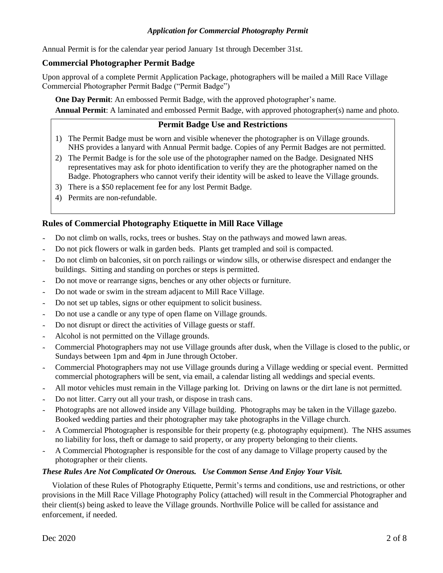#### *Application for Commercial Photography Permit*

Annual Permit is for the calendar year period January 1st through December 31st.

#### **Commercial Photographer Permit Badge**

Upon approval of a complete Permit Application Package, photographers will be mailed a Mill Race Village Commercial Photographer Permit Badge ("Permit Badge")

**One Day Permit**: An embossed Permit Badge, with the approved photographer's name. **Annual Permit**: A laminated and embossed Permit Badge, with approved photographer(s) name and photo.

## **Permit Badge Use and Restrictions**

- 1) The Permit Badge must be worn and visible whenever the photographer is on Village grounds. NHS provides a lanyard with Annual Permit badge. Copies of any Permit Badges are not permitted.
- 2) The Permit Badge is for the sole use of the photographer named on the Badge. Designated NHS representatives may ask for photo identification to verify they are the photographer named on the Badge. Photographers who cannot verify their identity will be asked to leave the Village grounds.
- 3) There is a \$50 replacement fee for any lost Permit Badge.
- 4) Permits are non-refundable.

### **Rules of Commercial Photography Etiquette in Mill Race Village**

- Do not climb on walls, rocks, trees or bushes. Stay on the pathways and mowed lawn areas.
- Do not pick flowers or walk in garden beds. Plants get trampled and soil is compacted.
- Do not climb on balconies, sit on porch railings or window sills, or otherwise disrespect and endanger the buildings. Sitting and standing on porches or steps is permitted.
- Do not move or rearrange signs, benches or any other objects or furniture.
- Do not wade or swim in the stream adjacent to Mill Race Village.
- Do not set up tables, signs or other equipment to solicit business.
- Do not use a candle or any type of open flame on Village grounds.
- Do not disrupt or direct the activities of Village guests or staff.
- Alcohol is not permitted on the Village grounds.
- Commercial Photographers may not use Village grounds after dusk, when the Village is closed to the public, or Sundays between 1pm and 4pm in June through October.
- Commercial Photographers may not use Village grounds during a Village wedding or special event. Permitted commercial photographers will be sent, via email, a calendar listing all weddings and special events.
- All motor vehicles must remain in the Village parking lot. Driving on lawns or the dirt lane is not permitted.
- Do not litter. Carry out all your trash, or dispose in trash cans.
- Photographs are not allowed inside any Village building. Photographs may be taken in the Village gazebo. Booked wedding parties and their photographer may take photographs in the Village church.
- A Commercial Photographer is responsible for their property (e.g. photography equipment). The NHS assumes no liability for loss, theft or damage to said property, or any property belonging to their clients.
- A Commercial Photographer is responsible for the cost of any damage to Village property caused by the photographer or their clients.

#### *These Rules Are Not Complicated Or Onerous. Use Common Sense And Enjoy Your Visit.*

Violation of these Rules of Photography Etiquette, Permit's terms and conditions, use and restrictions, or other provisions in the Mill Race Village Photography Policy (attached) will result in the Commercial Photographer and their client(s) being asked to leave the Village grounds. Northville Police will be called for assistance and enforcement, if needed.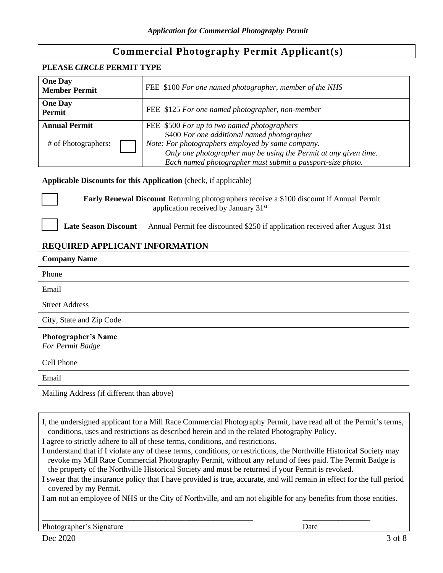## **Commercial Photography Permit Applicant(s)**

#### **PLEASE** *CIRCLE* **PERMIT TYPE**

| <b>One Day</b><br><b>Member Permit</b> | FEE \$100 For one named photographer, member of the NHS          |
|----------------------------------------|------------------------------------------------------------------|
| <b>One Day</b><br><b>Permit</b>        | FEE \$125 For one named photographer, non-member                 |
| <b>Annual Permit</b>                   | FEE \$500 For up to two named photographers                      |
|                                        | \$400 For one additional named photographer                      |
| # of Photographers:                    | Note: For photographers employed by same company.                |
|                                        | Only one photographer may be using the Permit at any given time. |
|                                        | Each named photographer must submit a passport-size photo.       |

#### **Applicable Discounts for this Application** (check, if applicable)

**Early Renewal Discount** Returning photographers receive a \$100 discount if Annual Permit application received by January 31<sup>st</sup>

#### **Late Season Discount** Annual Permit fee discounted \$250 if application received after August 31st

### **REQUIRED APPLICANT INFORMATION**

| <b>Company Name</b>                            |
|------------------------------------------------|
| Phone                                          |
| Email                                          |
| <b>Street Address</b>                          |
| City, State and Zip Code                       |
| <b>Photographer's Name</b><br>For Permit Badge |
| Cell Phone                                     |
| Email                                          |
|                                                |

Mailing Address (if different than above)

I, the undersigned applicant for a Mill Race Commercial Photography Permit, have read all of the Permit's terms, conditions, uses and restrictions as described herein and in the related Photography Policy.

I agree to strictly adhere to all of these terms, conditions, and restrictions.

I understand that if I violate any of these terms, conditions, or restrictions, the Northville Historical Society may revoke my Mill Race Commercial Photography Permit, without any refund of fees paid. The Permit Badge is the property of the Northville Historical Society and must be returned if your Permit is revoked.

I swear that the insurance policy that I have provided is true, accurate, and will remain in effect for the full period covered by my Permit.

I am not an employee of NHS or the City of Northville, and am not eligible for any benefits from those entities.

\_\_\_\_\_\_\_\_\_\_\_\_\_\_\_\_\_\_\_\_\_\_\_\_\_\_\_\_\_\_\_\_\_\_\_\_\_\_\_\_\_\_\_\_\_\_\_\_\_\_\_\_\_ \_\_\_\_\_\_\_\_\_\_\_\_\_\_\_\_\_

Photographer's Signature Date Date Date Date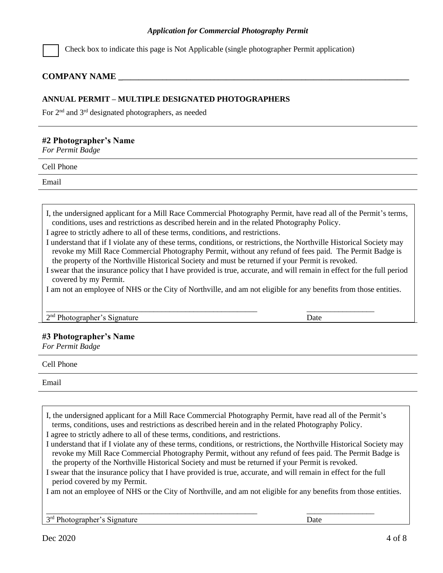#### *Application for Commercial Photography Permit*

Check box to indicate this page is Not Applicable (single photographer Permit application)

#### **COMPANY NAME \_\_\_\_\_\_\_\_\_\_\_\_\_\_\_\_\_\_\_\_\_\_\_\_\_\_\_\_\_\_\_\_\_\_\_\_\_\_\_\_\_\_\_\_\_\_\_\_\_\_\_\_\_\_\_\_\_\_\_\_\_\_\_\_\_\_\_\_\_\_\_\_\_**

#### **ANNUAL PERMIT – MULTIPLE DESIGNATED PHOTOGRAPHERS**

For 2<sup>nd</sup> and 3<sup>rd</sup> designated photographers, as needed

#### **#2 Photographer's Name**

*For Permit Badge*

Cell Phone

Email

I, the undersigned applicant for a Mill Race Commercial Photography Permit, have read all of the Permit's terms, conditions, uses and restrictions as described herein and in the related Photography Policy.

I agree to strictly adhere to all of these terms, conditions, and restrictions.

I understand that if I violate any of these terms, conditions, or restrictions, the Northville Historical Society may revoke my Mill Race Commercial Photography Permit, without any refund of fees paid. The Permit Badge is the property of the Northville Historical Society and must be returned if your Permit is revoked.

I swear that the insurance policy that I have provided is true, accurate, and will remain in effect for the full period covered by my Permit.

I am not an employee of NHS or the City of Northville, and am not eligible for any benefits from those entities.

\_\_\_\_\_\_\_\_\_\_\_\_\_\_\_\_\_\_\_\_\_\_\_\_\_\_\_\_\_\_\_\_\_\_\_\_\_\_\_\_\_\_\_\_\_\_\_\_\_\_\_\_\_ \_\_\_\_\_\_\_\_\_\_\_\_\_\_\_\_\_

2<sup>nd</sup> Photographer's Signature Date

#### **#3 Photographer's Name**

*For Permit Badge*

Cell Phone

Email

I, the undersigned applicant for a Mill Race Commercial Photography Permit, have read all of the Permit's terms, conditions, uses and restrictions as described herein and in the related Photography Policy.

I agree to strictly adhere to all of these terms, conditions, and restrictions.

- I understand that if I violate any of these terms, conditions, or restrictions, the Northville Historical Society may revoke my Mill Race Commercial Photography Permit, without any refund of fees paid. The Permit Badge is the property of the Northville Historical Society and must be returned if your Permit is revoked.
- I swear that the insurance policy that I have provided is true, accurate, and will remain in effect for the full period covered by my Permit.

\_\_\_\_\_\_\_\_\_\_\_\_\_\_\_\_\_\_\_\_\_\_\_\_\_\_\_\_\_\_\_\_\_\_\_\_\_\_\_\_\_\_\_\_\_\_\_\_\_\_\_\_\_ \_\_\_\_\_\_\_\_\_\_\_\_\_\_\_\_\_

I am not an employee of NHS or the City of Northville, and am not eligible for any benefits from those entities.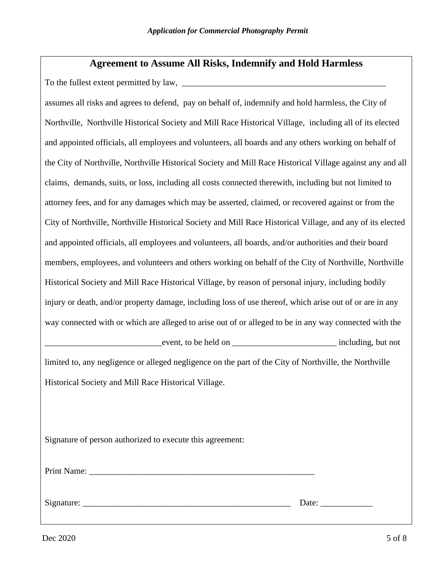## **Agreement to Assume All Risks, Indemnify and Hold Harmless**

To the fullest extent permitted by law, \_\_\_\_\_\_\_\_\_\_\_\_\_\_\_\_\_\_\_\_\_\_\_\_\_\_\_\_\_\_\_\_\_\_\_\_\_\_\_\_\_\_\_\_\_\_\_

assumes all risks and agrees to defend, pay on behalf of, indemnify and hold harmless, the City of Northville, Northville Historical Society and Mill Race Historical Village, including all of its elected and appointed officials, all employees and volunteers, all boards and any others working on behalf of the City of Northville, Northville Historical Society and Mill Race Historical Village against any and all claims, demands, suits, or loss, including all costs connected therewith, including but not limited to attorney fees, and for any damages which may be asserted, claimed, or recovered against or from the City of Northville, Northville Historical Society and Mill Race Historical Village, and any of its elected and appointed officials, all employees and volunteers, all boards, and/or authorities and their board members, employees, and volunteers and others working on behalf of the City of Northville, Northville Historical Society and Mill Race Historical Village, by reason of personal injury, including bodily injury or death, and/or property damage, including loss of use thereof, which arise out of or are in any way connected with or which are alleged to arise out of or alleged to be in any way connected with the event, to be held on \_\_\_\_\_\_\_\_\_\_\_\_\_\_\_\_\_\_\_\_\_\_\_\_\_\_\_\_\_\_\_\_\_ including, but not limited to, any negligence or alleged negligence on the part of the City of Northville, the Northville Historical Society and Mill Race Historical Village.

Signature of person authorized to execute this agreement:

Print Name:

Signature: \_\_\_\_\_\_\_\_\_\_\_\_\_\_\_\_\_\_\_\_\_\_\_\_\_\_\_\_\_\_\_\_\_\_\_\_\_\_\_\_\_\_\_\_\_\_\_\_ Date: \_\_\_\_\_\_\_\_\_\_\_\_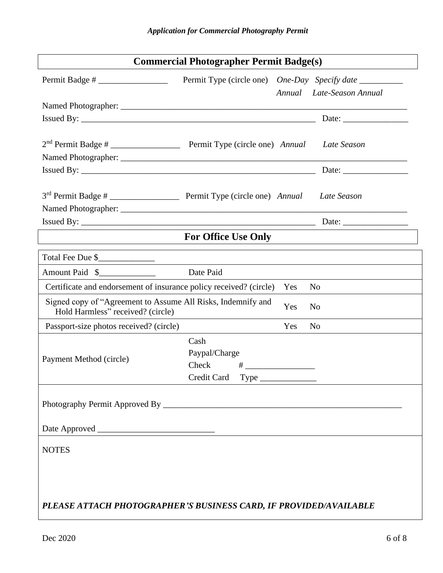| <b>Commercial Photographer Permit Badge(s)</b>                                                    |                                                                   |  |  |  |
|---------------------------------------------------------------------------------------------------|-------------------------------------------------------------------|--|--|--|
| $Permit Badge # \_$                                                                               | Permit Type (circle one) One-Day Specify date _________           |  |  |  |
|                                                                                                   | Annual Late-Season Annual                                         |  |  |  |
|                                                                                                   |                                                                   |  |  |  |
|                                                                                                   | Issued By: $\qquad \qquad$                                        |  |  |  |
|                                                                                                   |                                                                   |  |  |  |
|                                                                                                   |                                                                   |  |  |  |
|                                                                                                   |                                                                   |  |  |  |
|                                                                                                   |                                                                   |  |  |  |
|                                                                                                   |                                                                   |  |  |  |
|                                                                                                   |                                                                   |  |  |  |
|                                                                                                   |                                                                   |  |  |  |
|                                                                                                   | <b>For Office Use Only</b>                                        |  |  |  |
| Total Fee Due \$                                                                                  |                                                                   |  |  |  |
| Amount Paid \$                                                                                    | Date Paid                                                         |  |  |  |
| Certificate and endorsement of insurance policy received? (circle)                                | Yes<br>N <sub>0</sub>                                             |  |  |  |
| Signed copy of "Agreement to Assume All Risks, Indemnify and<br>Hold Harmless" received? (circle) | Yes<br>N <sub>0</sub>                                             |  |  |  |
| Passport-size photos received? (circle)                                                           | Yes<br>N <sub>0</sub>                                             |  |  |  |
|                                                                                                   | Cash                                                              |  |  |  |
| Payment Method (circle)                                                                           | Paypal/Charge                                                     |  |  |  |
|                                                                                                   | Check<br>$\#$ __________________________                          |  |  |  |
|                                                                                                   | Credit Card Type                                                  |  |  |  |
|                                                                                                   |                                                                   |  |  |  |
|                                                                                                   |                                                                   |  |  |  |
| <b>NOTES</b>                                                                                      |                                                                   |  |  |  |
|                                                                                                   |                                                                   |  |  |  |
|                                                                                                   |                                                                   |  |  |  |
|                                                                                                   |                                                                   |  |  |  |
|                                                                                                   | PLEASE ATTACH PHOTOGRAPHER'S BUSINESS CARD, IF PROVIDED/AVAILABLE |  |  |  |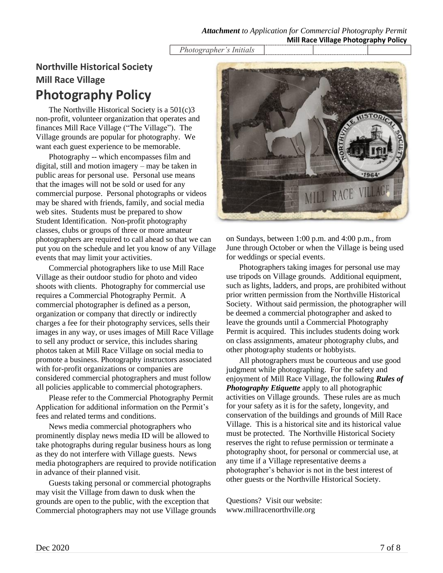*Photographer's Initials*

# **Northville Historical Society Mill Race Village Photography Policy**

The Northville Historical Society is a 501(c)3 non-profit, volunteer organization that operates and finances Mill Race Village ("The Village"). The Village grounds are popular for photography. We want each guest experience to be memorable.

Photography -- which encompasses film and digital, still and motion imagery – may be taken in public areas for personal use. Personal use means that the images will not be sold or used for any commercial purpose. Personal photographs or videos may be shared with friends, family, and social media web sites. Students must be prepared to show Student Identification. Non-profit photography classes, clubs or groups of three or more amateur photographers are required to call ahead so that we can put you on the schedule and let you know of any Village events that may limit your activities.

Commercial photographers like to use Mill Race Village as their outdoor studio for photo and video shoots with clients. Photography for commercial use requires a Commercial Photography Permit. A commercial photographer is defined as a person, organization or company that directly or indirectly charges a fee for their photography services, sells their images in any way, or uses images of Mill Race Village to sell any product or service, this includes sharing photos taken at Mill Race Village on social media to promote a business. Photography instructors associated with for-profit organizations or companies are considered commercial photographers and must follow all policies applicable to commercial photographers.

Please refer to the Commercial Photography Permit Application for additional information on the Permit's fees and related terms and conditions.

News media commercial photographers who prominently display news media ID will be allowed to take photographs during regular business hours as long as they do not interfere with Village guests. News media photographers are required to provide notification in advance of their planned visit.

Guests taking personal or commercial photographs may visit the Village from dawn to dusk when the grounds are open to the public, with the exception that Commercial photographers may not use Village grounds



on Sundays, between 1:00 p.m. and 4:00 p.m., from June through October or when the Village is being used for weddings or special events.

Photographers taking images for personal use may use tripods on Village grounds. Additional equipment, such as lights, ladders, and props, are prohibited without prior written permission from the Northville Historical Society. Without said permission, the photographer will be deemed a commercial photographer and asked to leave the grounds until a Commercial Photography Permit is acquired. This includes students doing work on class assignments, amateur photography clubs, and other photography students or hobbyists.

All photographers must be courteous and use good judgment while photographing. For the safety and enjoyment of Mill Race Village, the following *Rules of Photography Etiquette* apply to all photographic activities on Village grounds. These rules are as much for your safety as it is for the safety, longevity, and conservation of the buildings and grounds of Mill Race Village. This is a historical site and its historical value must be protected. The Northville Historical Society reserves the right to refuse permission or terminate a photography shoot, for personal or commercial use, at any time if a Village representative deems a photographer's behavior is not in the best interest of other guests or the Northville Historical Society.

Questions? Visit our website: www.millracenorthville.org